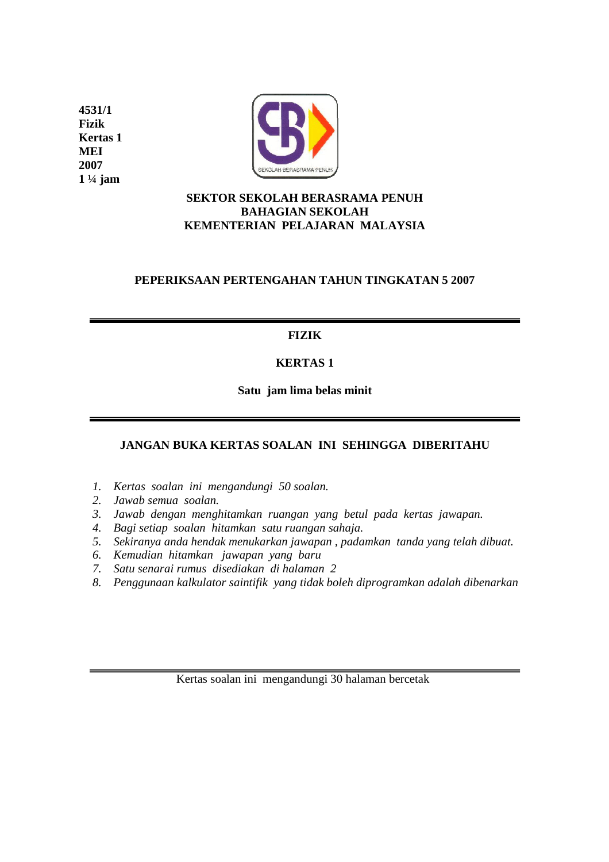**4531/1 Fizik Kertas 1 MEI 2007 1 ¼ jam** 



### **SEKTOR SEKOLAH BERASRAMA PENUH BAHAGIAN SEKOLAH KEMENTERIAN PELAJARAN MALAYSIA**

## **PEPERIKSAAN PERTENGAHAN TAHUN TINGKATAN 5 2007**

## **FIZIK**

# **KERTAS 1**

**Satu jam lima belas minit** 

# **JANGAN BUKA KERTAS SOALAN INI SEHINGGA DIBERITAHU**

- *1. Kertas soalan ini mengandungi 50 soalan.*
- *2. Jawab semua soalan.*
- *3. Jawab dengan menghitamkan ruangan yang betul pada kertas jawapan.*
- *4. Bagi setiap soalan hitamkan satu ruangan sahaja.*
- *5. Sekiranya anda hendak menukarkan jawapan , padamkan tanda yang telah dibuat.*
- *6. Kemudian hitamkan jawapan yang baru*
- *7. Satu senarai rumus disediakan di halaman 2*
- *8. Penggunaan kalkulator saintifik yang tidak boleh diprogramkan adalah dibenarkan*

Kertas soalan ini mengandungi 30 halaman bercetak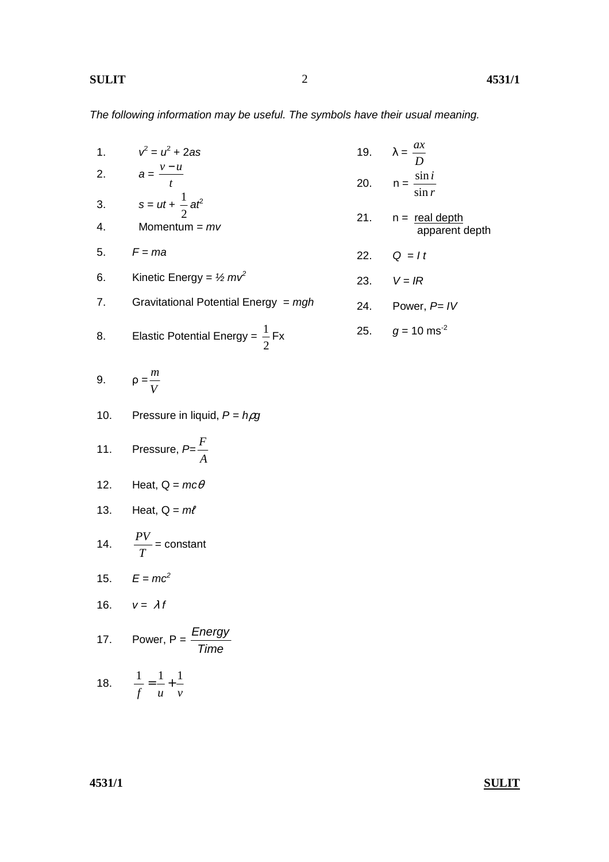The following information may be useful. The symbols have their usual meaning.

|    | 1. $v^2 = u^2 + 2as$                             | 19. $\lambda = \frac{ax}{D}$                  |
|----|--------------------------------------------------|-----------------------------------------------|
|    | 2. $a = \frac{v - u}{t}$                         | 20. $n = \frac{\sin i}{\sin r}$               |
| 4. | 3. $s = ut + \frac{1}{2}at^2$<br>Momentum = $mv$ | 21. $n = \text{real depth}$<br>apparent depth |
|    | 5. $F = ma$                                      | 22. $Q = It$                                  |
|    | 6. Kinetic Energy = $\frac{1}{2}mv^2$            | 23. $V = IR$                                  |
| 7. | Gravitational Potential Energy = $mgh$           | 24. Power, $P=IV$                             |
|    | 8. Elastic Potential Energy = $\frac{1}{2}$ Fx   | 25. $g = 10$ ms <sup>-2</sup>                 |
|    |                                                  |                                               |

$$
9. \qquad \rho = \frac{m}{V}
$$

10. Pressure in liquid, 
$$
P = h \rho g
$$

11. Pressure, 
$$
P = \frac{F}{A}
$$

12. Heat, 
$$
Q = mc\theta
$$

13. Heat, 
$$
Q = m\ell
$$

14. 
$$
\frac{PV}{T} = \text{constant}
$$

$$
15. \qquad E = mc^2
$$

16. 
$$
v = \lambda f
$$

17. Power, 
$$
P = \frac{Energy}{Time}
$$

18. 
$$
\frac{1}{f} = \frac{1}{u} + \frac{1}{v}
$$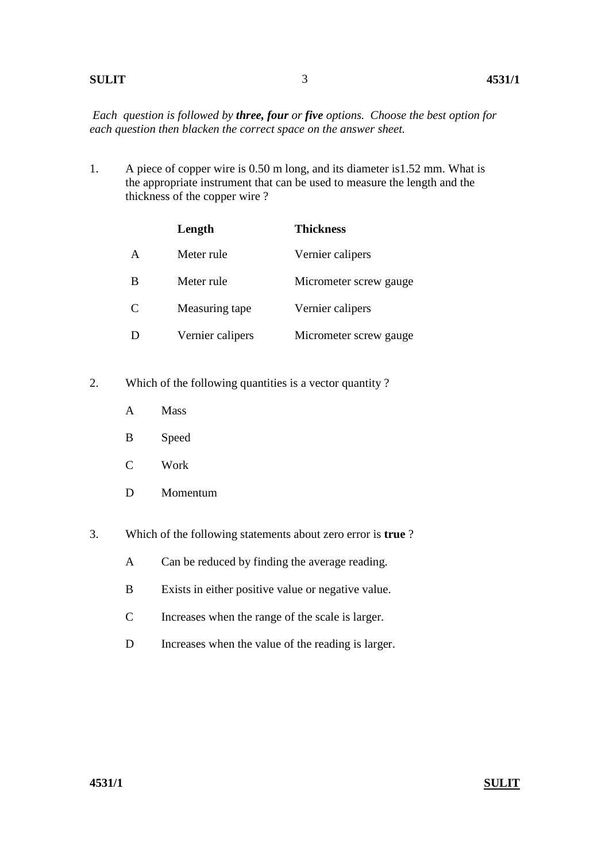### **SULIT 4531/1**

*Each question is followed by three, four or five options. Choose the best option for each question then blacken the correct space on the answer sheet.* 

1. A piece of copper wire is 0.50 m long, and its diameter is1.52 mm. What is the appropriate instrument that can be used to measure the length and the thickness of the copper wire ?

|   | Length           | <b>Thickness</b>       |
|---|------------------|------------------------|
| A | Meter rule       | Vernier calipers       |
| B | Meter rule       | Micrometer screw gauge |
| C | Measuring tape   | Vernier calipers       |
|   | Vernier calipers | Micrometer screw gauge |

- 2. Which of the following quantities is a vector quantity ?
	- A Mass
	- B Speed
	- C Work
	- D Momentum
- 3. Which of the following statements about zero error is **true** ?
	- A Can be reduced by finding the average reading.
	- B Exists in either positive value or negative value.
	- C Increases when the range of the scale is larger.
	- D Increases when the value of the reading is larger.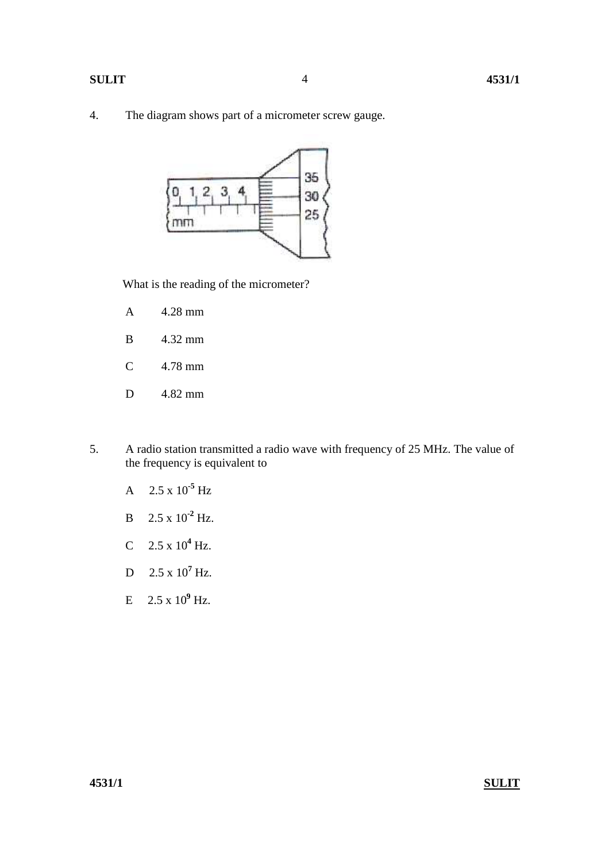4. The diagram shows part of a micrometer screw gauge.



What is the reading of the micrometer?

- A 4.28 mm
- B 4.32 mm
- C 4.78 mm
- D 4.82 mm
- 5. A radio station transmitted a radio wave with frequency of 25 MHz. The value of the frequency is equivalent to
	- A 2.5 x 10**-5** Hz
	- B  $2.5 \times 10^{-2}$  Hz.
- C  $2.5 \times 10^4$  Hz.
- D  $2.5 \times 10^7$  Hz.
- E  $2.5 \times 10^9$  Hz.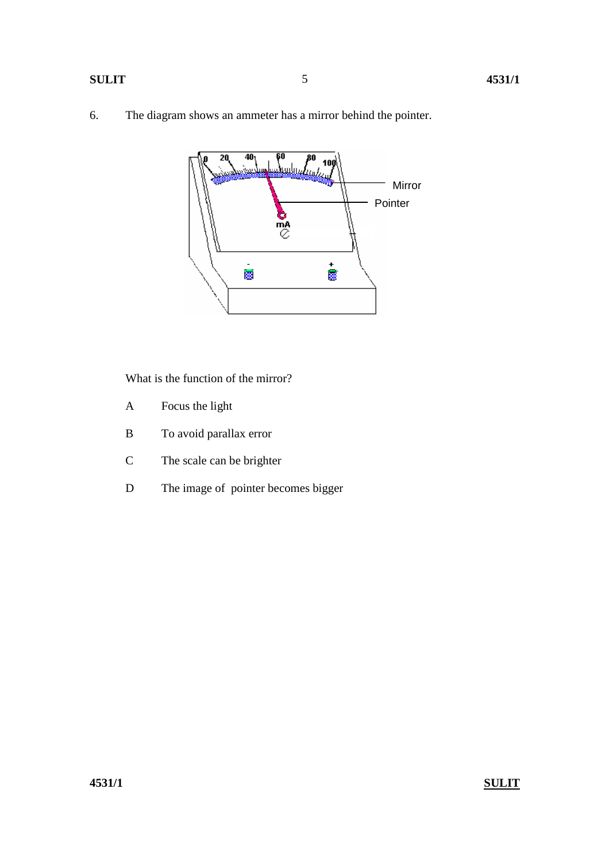6. The diagram shows an ammeter has a mirror behind the pointer.



What is the function of the mirror?

- A Focus the light
- B To avoid parallax error
- C The scale can be brighter
- D The image of pointer becomes bigger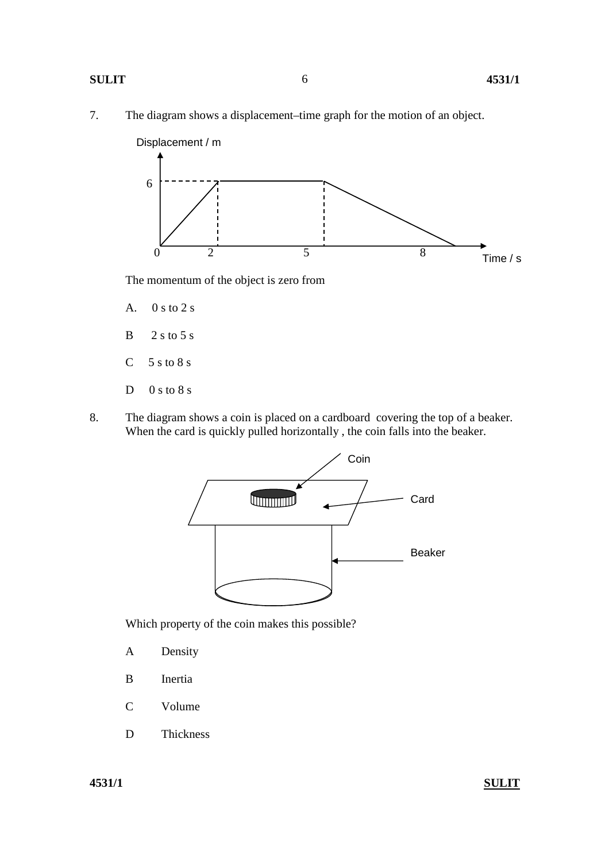#### **SULIT 4531/1**

7. The diagram shows a displacement–time graph for the motion of an object.



The momentum of the object is zero from

- A. 0 s to 2 s
- $B = 2 s to 5 s$
- $C$  5 s to 8 s
- $D \quad 0 s to 8 s$
- 8. The diagram shows a coin is placed on a cardboard covering the top of a beaker. When the card is quickly pulled horizontally , the coin falls into the beaker.



Which property of the coin makes this possible?

- A Density
- B Inertia
- C Volume
- D Thickness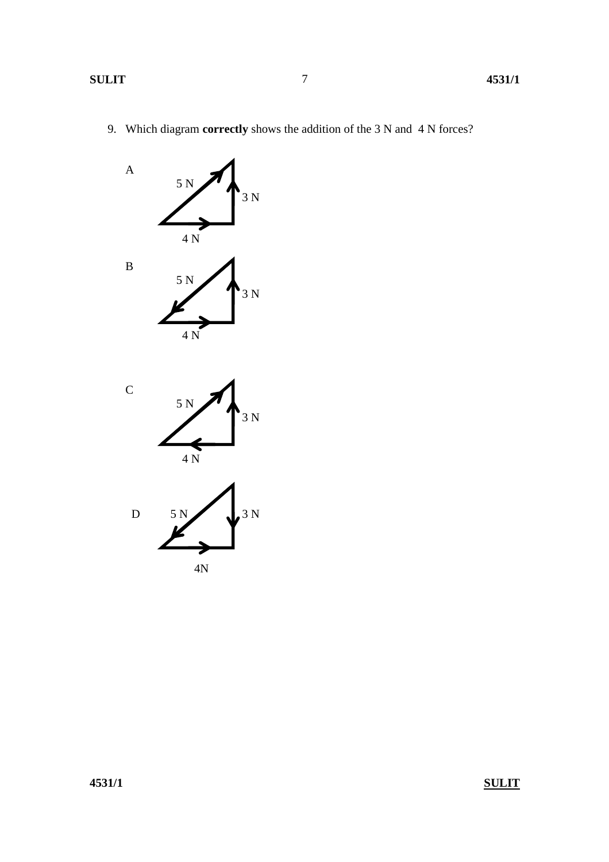9. Which diagram **correctly** shows the addition of the 3 N and 4 N forces?

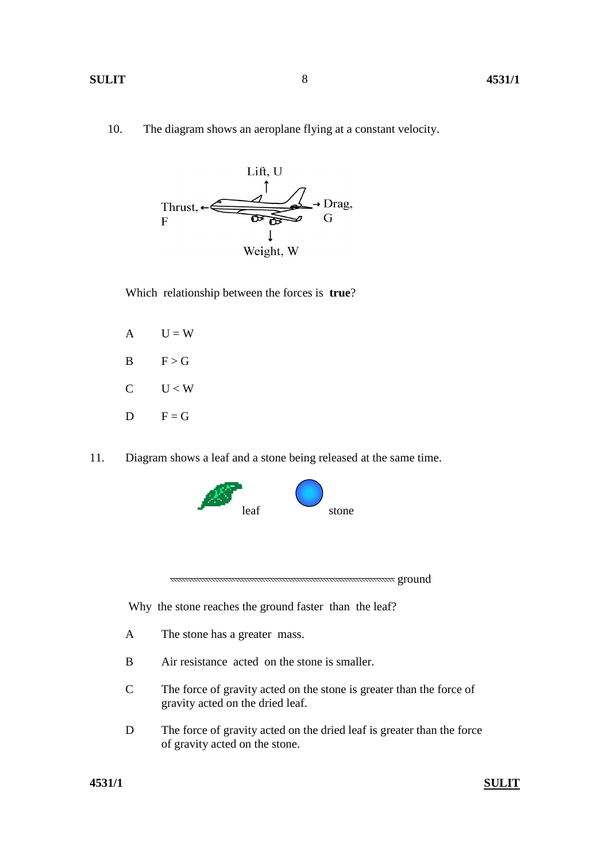10. The diagram shows an aeroplane flying at a constant velocity.

8



Which relationship between the forces is **true**?

- $A$   $U = W$  $B \t F > G$  $C \tU < W$  $D \tF = G$
- 11. Diagram shows a leaf and a stone being released at the same time.



Why the stone reaches the ground faster than the leaf?

- A The stone has a greater mass.
- B Air resistance acted on the stone is smaller.
- C The force of gravity acted on the stone is greater than the force of gravity acted on the dried leaf.
- D The force of gravity acted on the dried leaf is greater than the force of gravity acted on the stone.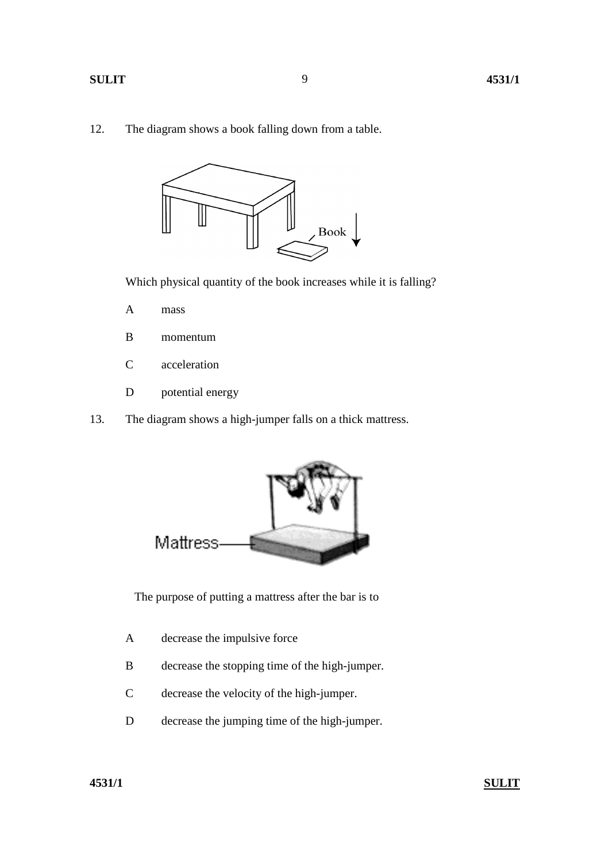9

### **SULIT 4531/1**

12. The diagram shows a book falling down from a table.



Which physical quantity of the book increases while it is falling?

- A mass
- B momentum
- C acceleration
- D potential energy
- 13. The diagram shows a high-jumper falls on a thick mattress.



The purpose of putting a mattress after the bar is to

- A decrease the impulsive force
- B decrease the stopping time of the high-jumper.
- C decrease the velocity of the high-jumper.
- D decrease the jumping time of the high-jumper.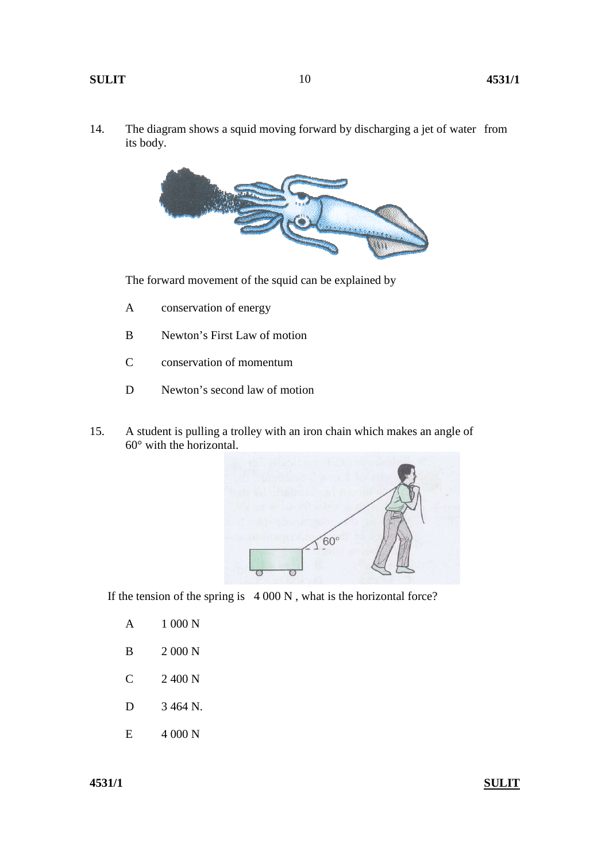14. The diagram shows a squid moving forward by discharging a jet of water from its body.

10



The forward movement of the squid can be explained by

- A conservation of energy
- B Newton's First Law of motion
- C conservation of momentum
- D Newton's second law of motion
- 15. A student is pulling a trolley with an iron chain which makes an angle of 60° with the horizontal.



If the tension of the spring is 4 000 N , what is the horizontal force?

- A 1 000 N
- B 2 000 N
- C 2 400 N
- D 3 464 N.
- E 4 000 N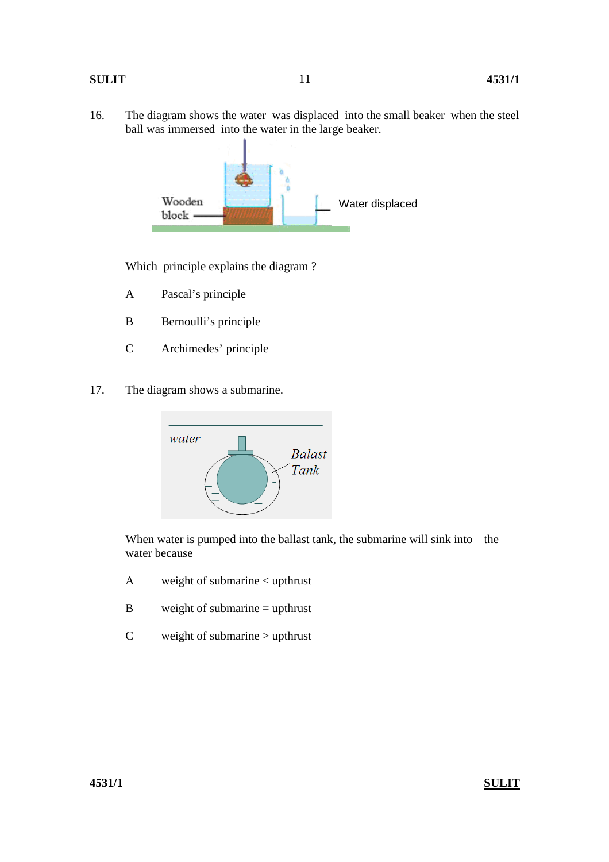### **SULIT 4531/1**

16. The diagram shows the water was displaced into the small beaker when the steel ball was immersed into the water in the large beaker.



Which principle explains the diagram ?

- A Pascal's principle
- B Bernoulli's principle
- C Archimedes' principle
- 17. The diagram shows a submarine.



When water is pumped into the ballast tank, the submarine will sink into the water because

- A weight of submarine < upthrust
- B weight of submarine = upthrust
- C weight of submarine > upthrust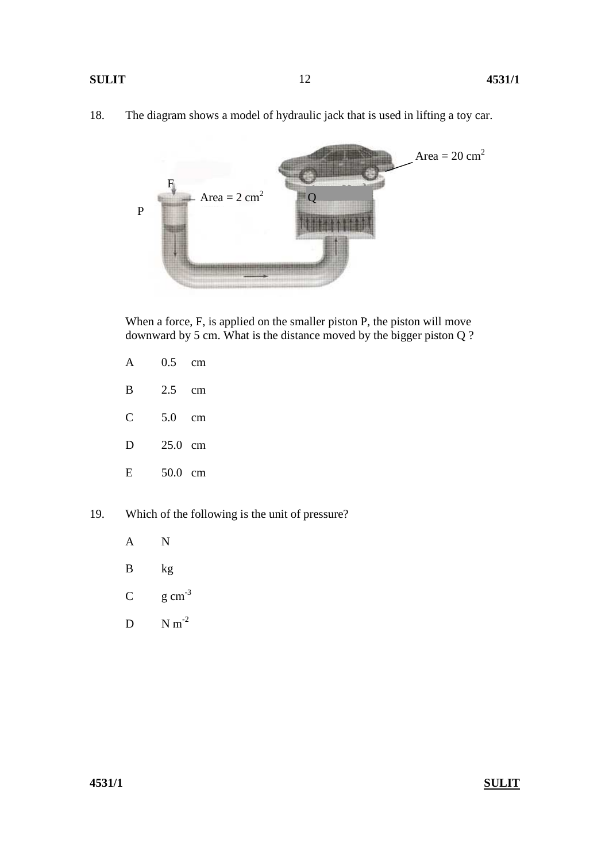18. The diagram shows a model of hydraulic jack that is used in lifting a toy car.



When a force, F, is applied on the smaller piston P, the piston will move downward by 5 cm. What is the distance moved by the bigger piston Q ?

| $\mathsf{A}$ | $0.5$ cm |  |
|--------------|----------|--|
| B            | 2.5 cm   |  |

- C 5.0 cm
- D 25.0 cm
- E 50.0 cm
- 19. Which of the following is the unit of pressure?
	- A N
	- B kg
	- C  $g \text{ cm}^{-3}$
	- $D \qquad N m^{-2}$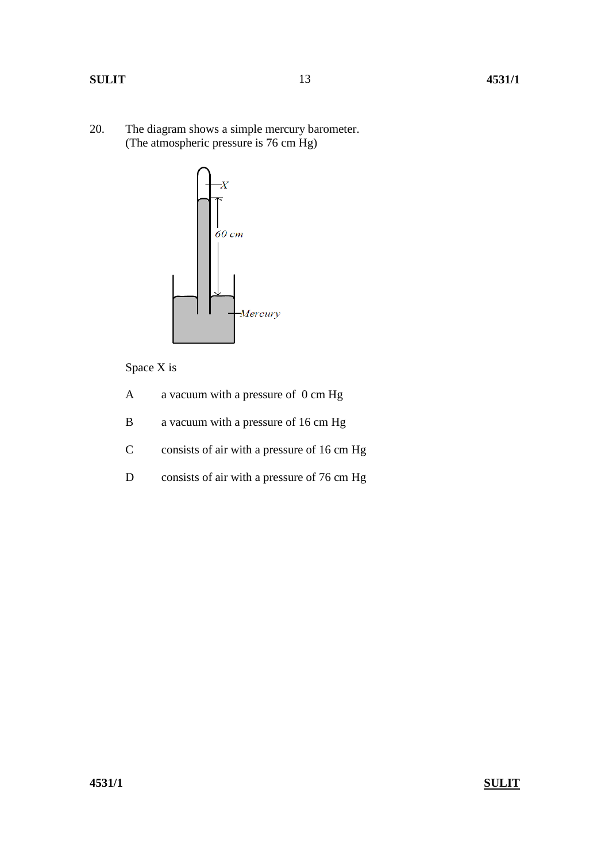20. The diagram shows a simple mercury barometer. (The atmospheric pressure is 76 cm Hg)



Space X is

- A a vacuum with a pressure of 0 cm Hg
- B a vacuum with a pressure of 16 cm Hg
- C consists of air with a pressure of 16 cm Hg
- D consists of air with a pressure of 76 cm Hg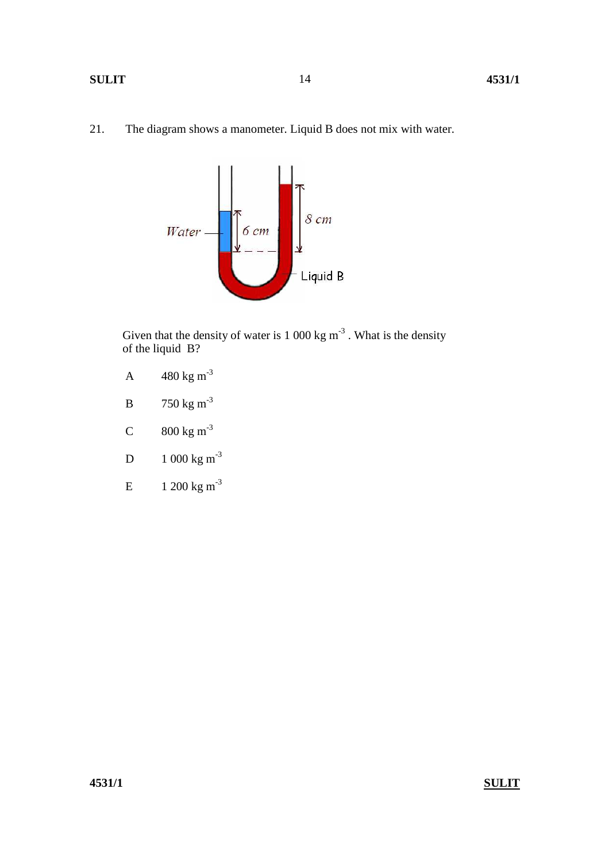### **SULIT** 4531/1

21. The diagram shows a manometer. Liquid B does not mix with water.



Given that the density of water is  $1000 \text{ kg m}^3$ . What is the density of the liquid B?

- A  $480 \text{ kg m}^{-3}$
- B  $750 \text{ kg m}^{-3}$
- C  $800 \text{ kg m}^{-3}$
- D  $1\ 000 \text{ kg m}^{-3}$
- E  $1 200 \text{ kg m}^{-3}$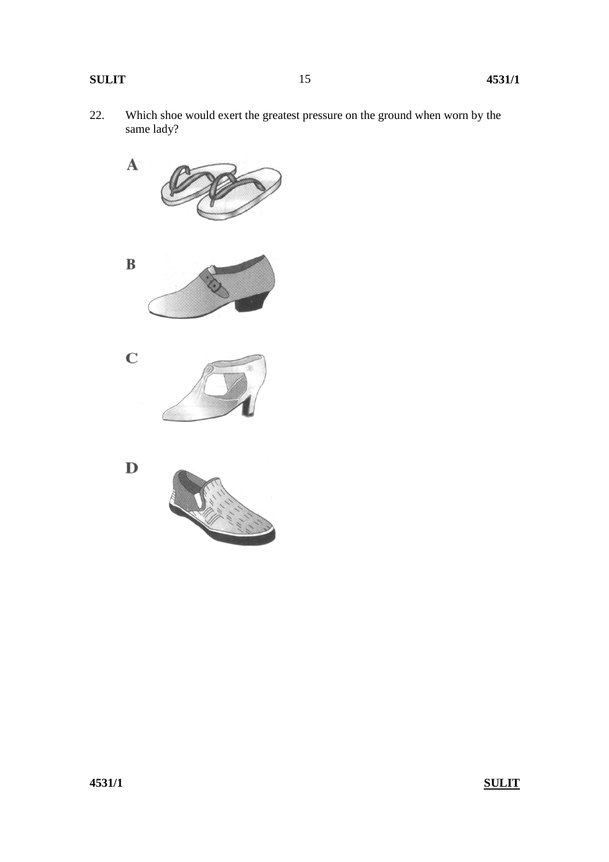22. Which shoe would exert the greatest pressure on the ground when worn by the same lady?

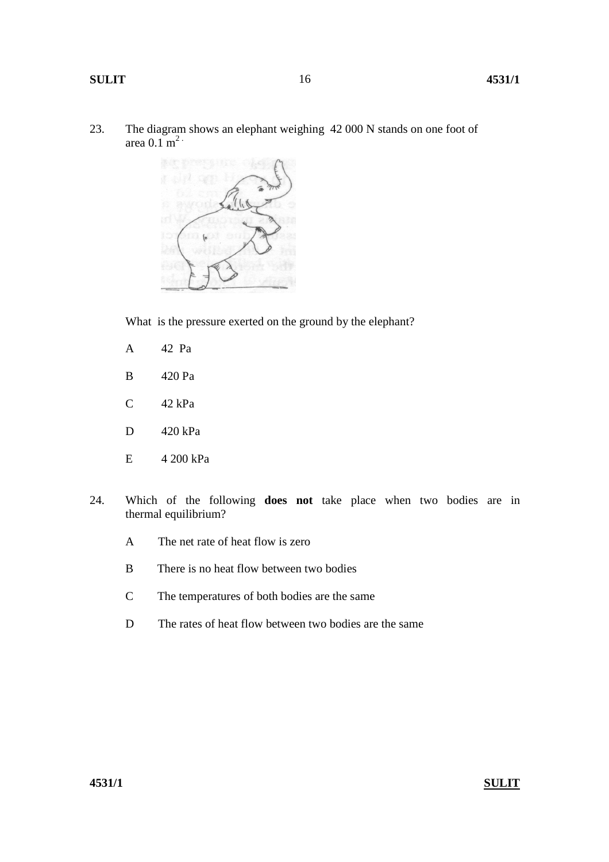23. The diagram shows an elephant weighing 42 000 N stands on one foot of area  $0.1 \text{ m}^2$ 



What is the pressure exerted on the ground by the elephant?

- A 42 Pa
- B 420 Pa
- C 42 kPa
- D 420 kPa
- E 4 200 kPa
- 24. Which of the following **does not** take place when two bodies are in thermal equilibrium?
	- A The net rate of heat flow is zero
	- B There is no heat flow between two bodies
	- C The temperatures of both bodies are the same
	- D The rates of heat flow between two bodies are the same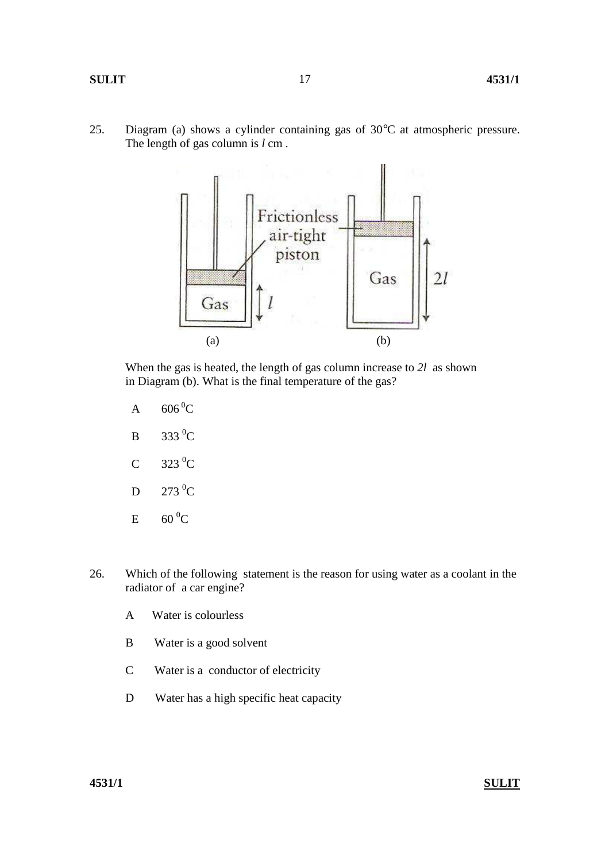17



 When the gas is heated, the length of gas column increase to *2l* as shown in Diagram (b). What is the final temperature of the gas?

- A  $606\,^0C$
- $B$  333 <sup>0</sup>C
- $C \t323 \t0 C$
- $D$  273<sup>0</sup>C
- $E = 60 \degree C$
- 26. Which of the following statement is the reason for using water as a coolant in the radiator of a car engine?
	- A Water is colourless
	- B Water is a good solvent
	- C Water is a conductor of electricity
	- D Water has a high specific heat capacity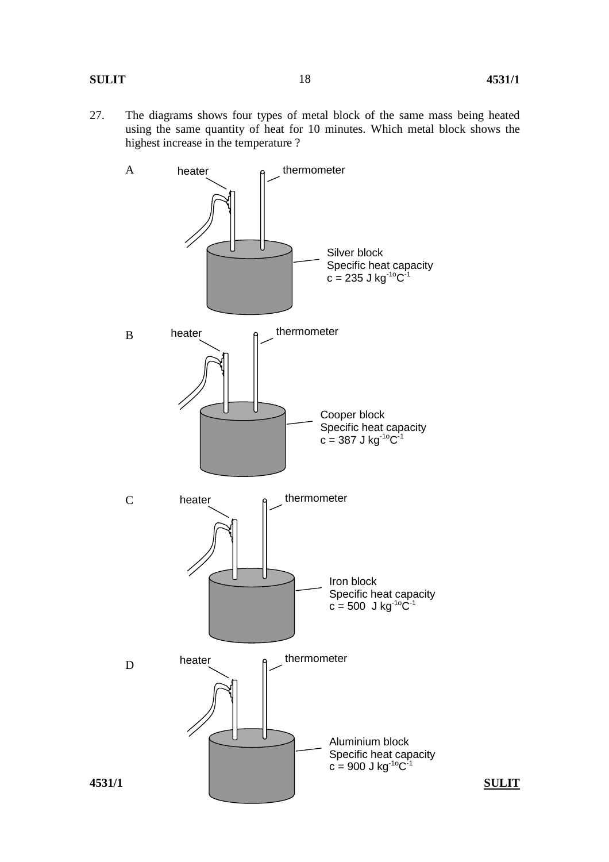27. The diagrams shows four types of metal block of the same mass being heated using the same quantity of heat for 10 minutes. Which metal block shows the highest increase in the temperature ?

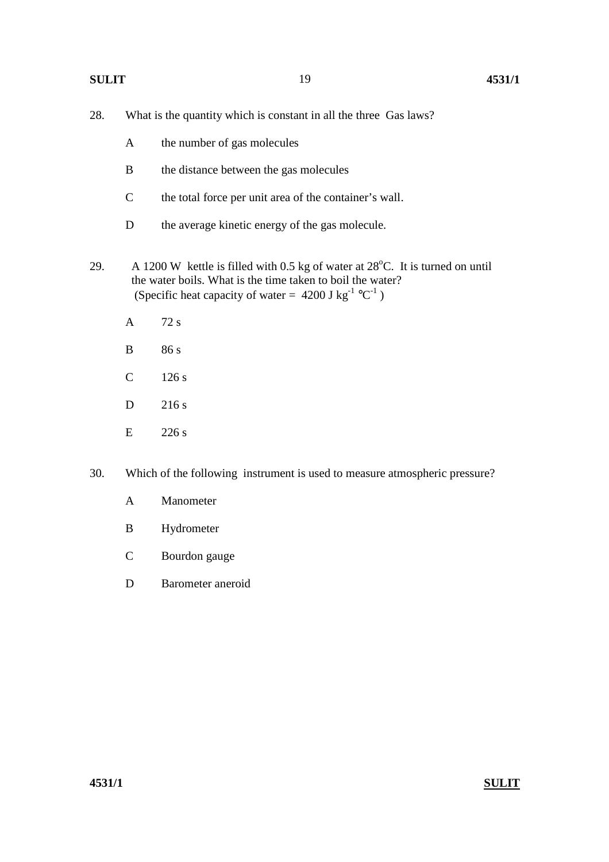| 28. | What is the quantity which is constant in all the three Gas laws?                                                                                                                                                                        |                                                                            |  |
|-----|------------------------------------------------------------------------------------------------------------------------------------------------------------------------------------------------------------------------------------------|----------------------------------------------------------------------------|--|
|     | A                                                                                                                                                                                                                                        | the number of gas molecules                                                |  |
|     | B                                                                                                                                                                                                                                        | the distance between the gas molecules                                     |  |
|     | $\mathcal{C}$                                                                                                                                                                                                                            | the total force per unit area of the container's wall.                     |  |
|     | D                                                                                                                                                                                                                                        | the average kinetic energy of the gas molecule.                            |  |
| 29. | A 1200 W kettle is filled with 0.5 kg of water at $28^{\circ}$ C. It is turned on until<br>the water boils. What is the time taken to boil the water?<br>(Specific heat capacity of water = $4200$ J kg <sup>-1</sup> °C <sup>-1</sup> ) |                                                                            |  |
|     | A                                                                                                                                                                                                                                        | 72s                                                                        |  |
|     | B                                                                                                                                                                                                                                        | 86 s                                                                       |  |
|     | $\mathcal{C}$                                                                                                                                                                                                                            | 126 s                                                                      |  |
|     | D                                                                                                                                                                                                                                        | 216s                                                                       |  |
|     | E                                                                                                                                                                                                                                        | 226s                                                                       |  |
| 30. |                                                                                                                                                                                                                                          | Which of the following instrument is used to measure atmospheric pressure? |  |
|     | A                                                                                                                                                                                                                                        | Manometer                                                                  |  |

- B Hydrometer
- C Bourdon gauge
- D Barometer aneroid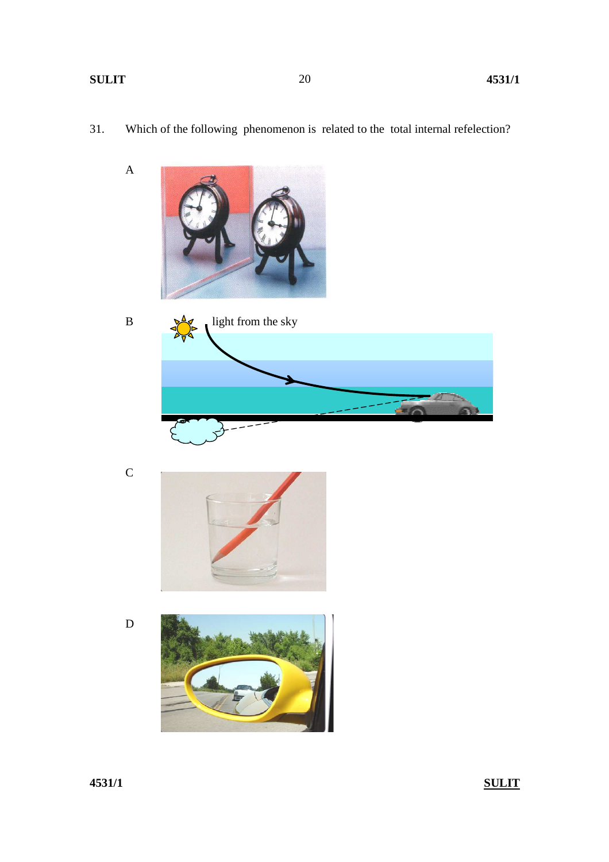A

31. Which of the following phenomenon is related to the total internal refelection?







D



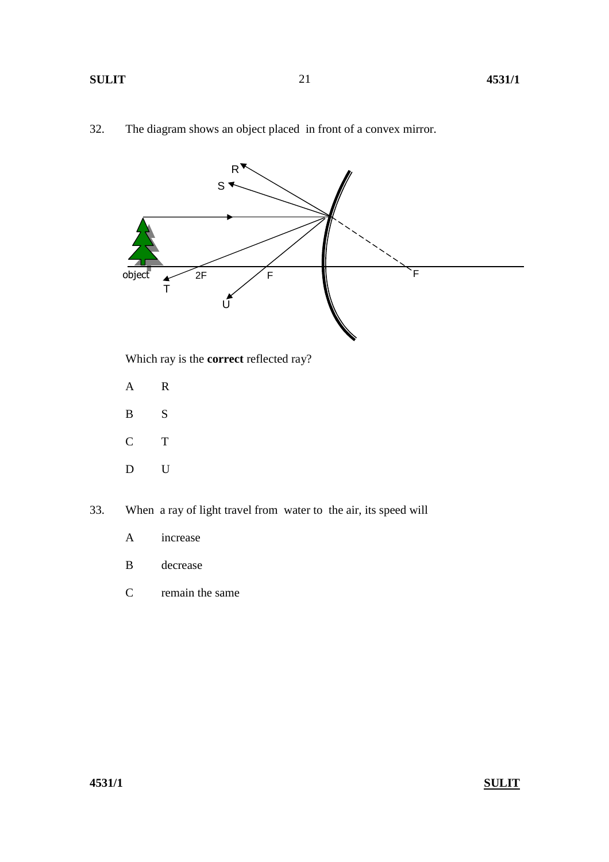



B S

C T

D U

33. When a ray of light travel from water to the air, its speed will

- A increase
- B decrease
- C remain the same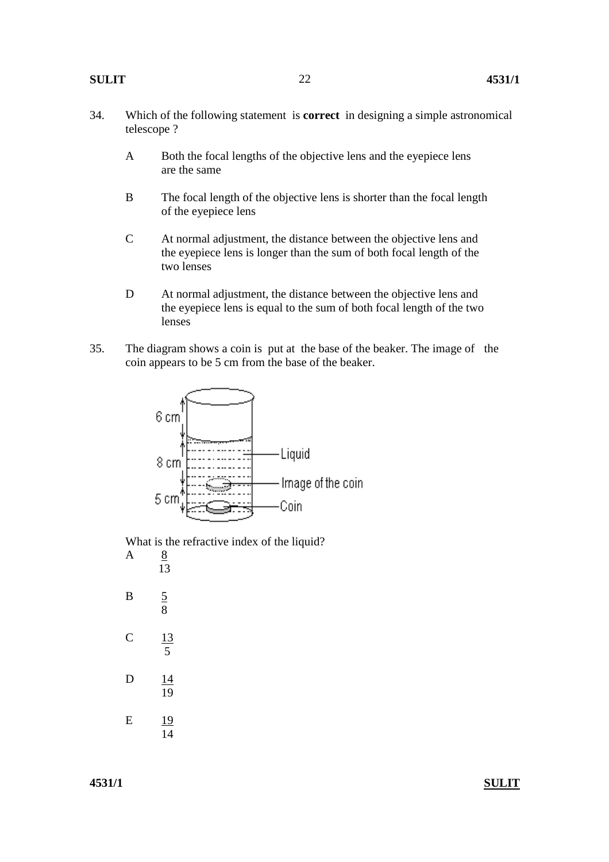- 34. Which of the following statement is **correct** in designing a simple astronomical telescope ?
	- A Both the focal lengths of the objective lens and the eyepiece lens are the same
	- B The focal length of the objective lens is shorter than the focal length of the eyepiece lens
	- C At normal adjustment, the distance between the objective lens and the eyepiece lens is longer than the sum of both focal length of the two lenses
	- D At normal adjustment, the distance between the objective lens and the eyepiece lens is equal to the sum of both focal length of the two lenses
- 35. The diagram shows a coin is put at the base of the beaker. The image of the coin appears to be 5 cm from the base of the beaker.



 What is the refractive index of the liquid? A 8

 13 B  $\frac{5}{8}$  8 C  $\frac{13}{5}$  5 D 14 19 E 19  $\overline{14}$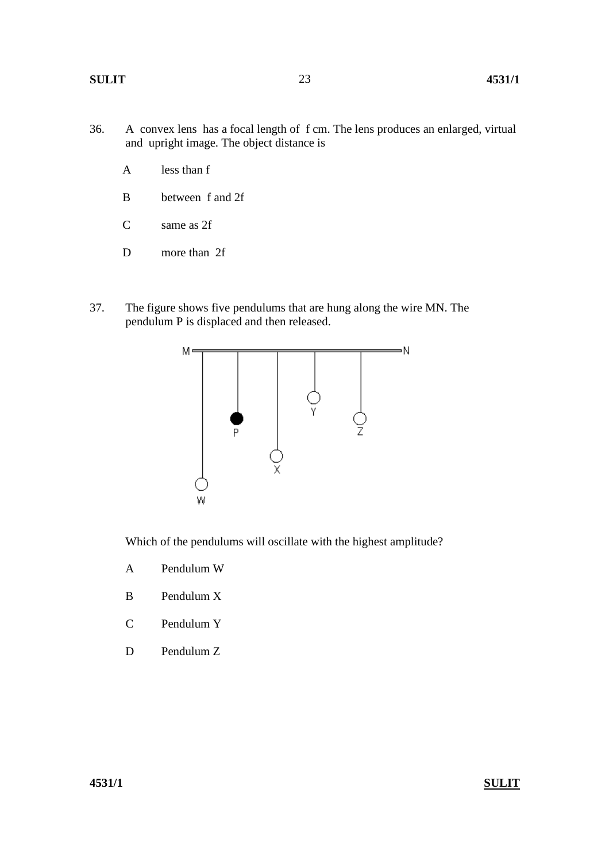- 36. A convex lens has a focal length of f cm. The lens produces an enlarged, virtual and upright image. The object distance is
	- A less than f
	- B between f and 2f
	- C same as 2f
	- D more than 2f
- 37. The figure shows five pendulums that are hung along the wire MN. The pendulum P is displaced and then released.



Which of the pendulums will oscillate with the highest amplitude?

- A Pendulum W
- B Pendulum X
- C Pendulum Y
- D Pendulum Z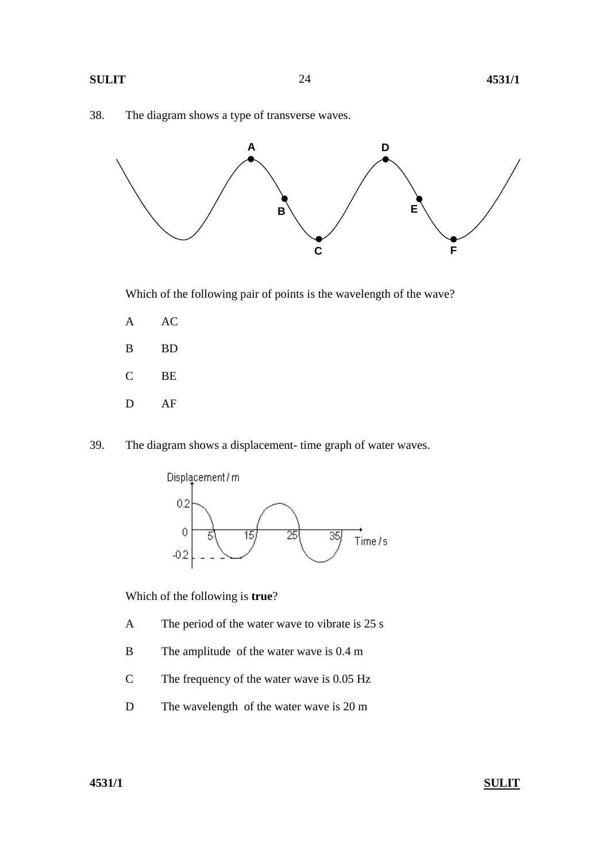



Which of the following pair of points is the wavelength of the wave?

- A AC
- B BD
- C BE
- D AF
- 39. The diagram shows a displacement- time graph of water waves.



Which of the following is **true**?

- A The period of the water wave to vibrate is 25 s
- B The amplitude of the water wave is 0.4 m
- C The frequency of the water wave is 0.05 Hz
- D The wavelength of the water wave is 20 m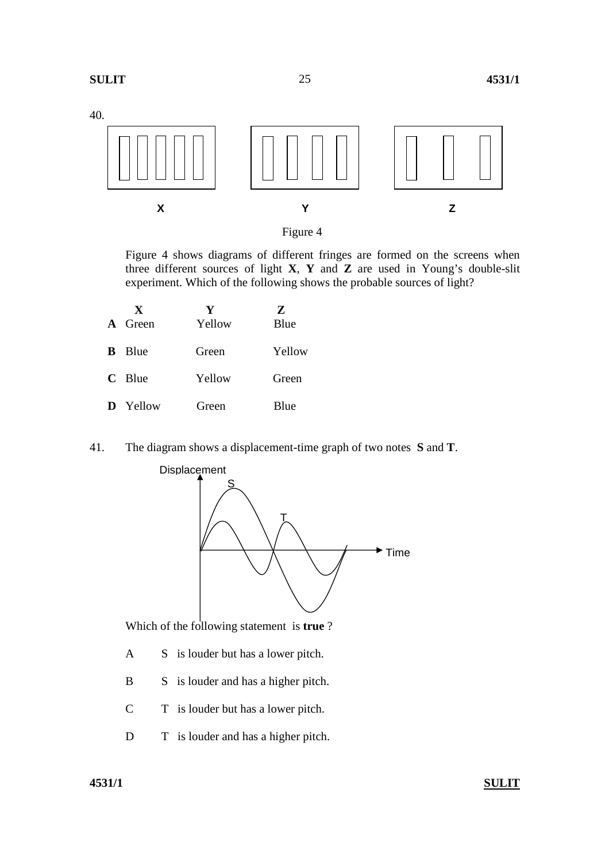



 Figure 4 shows diagrams of different fringes are formed on the screens when three different sources of light **X**, **Y** and **Z** are used in Young's double-slit experiment. Which of the following shows the probable sources of light?

| X<br><b>A</b> Green | Y<br>Yellow | 7.<br>Blue |
|---------------------|-------------|------------|
| – Blue<br>B.        | Green       | Yellow     |
| $C$ Blue            | Yellow      | Green      |
| <b>D</b> Yellow     | Green       | Blue       |

41. The diagram shows a displacement-time graph of two notes **S** and **T**.



Which of the following statement is **true** ?

- A S is louder but has a lower pitch.
- B S is louder and has a higher pitch.
- C T is louder but has a lower pitch.
- D T is louder and has a higher pitch.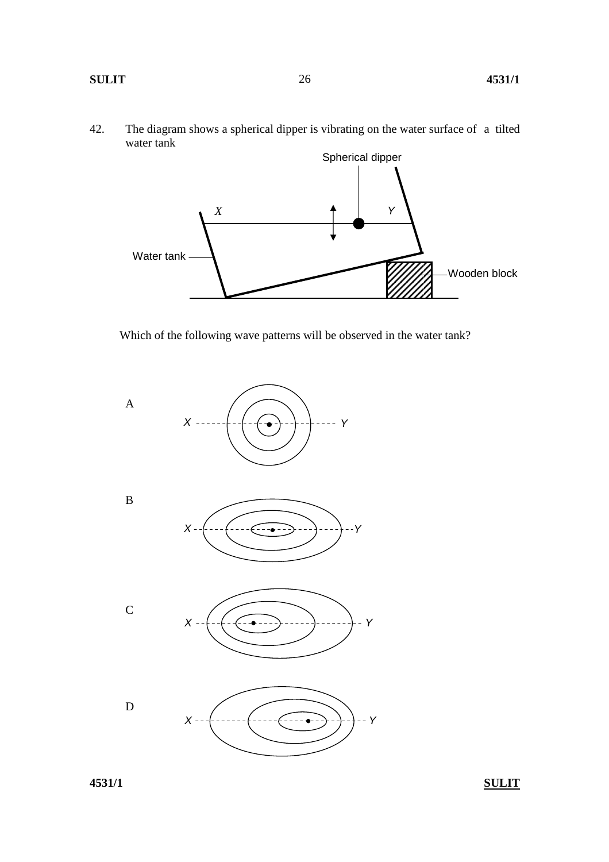42. The diagram shows a spherical dipper is vibrating on the water surface of a tilted water tank



Which of the following wave patterns will be observed in the water tank?

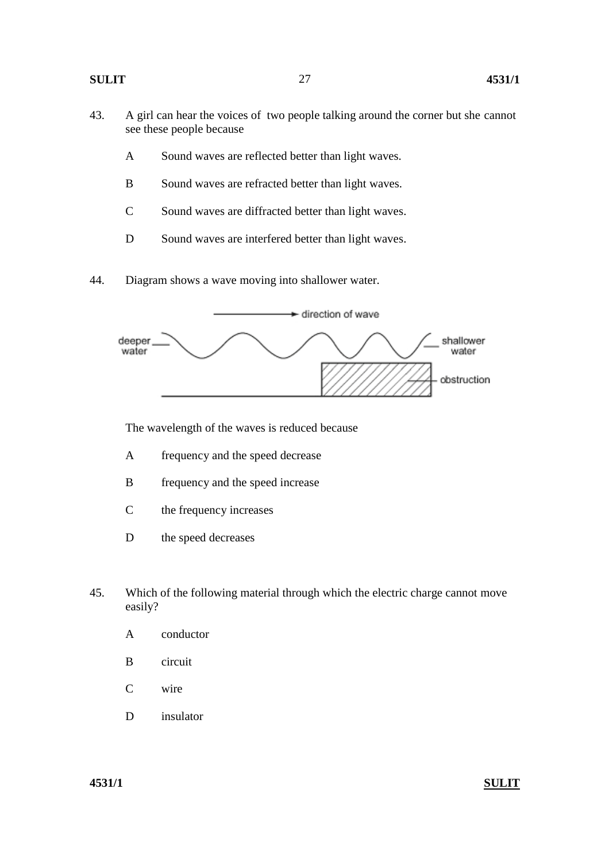- 43. A girl can hear the voices of two people talking around the corner but she cannot see these people because
	- A Sound waves are reflected better than light waves.
	- B Sound waves are refracted better than light waves.
	- C Sound waves are diffracted better than light waves.
	- D Sound waves are interfered better than light waves.
- 44. Diagram shows a wave moving into shallower water.



The wavelength of the waves is reduced because

- A frequency and the speed decrease
- B frequency and the speed increase
- C the frequency increases
- D the speed decreases
- 45. Which of the following material through which the electric charge cannot move easily?
	- A conductor
	- B circuit
	- C wire
	- D insulator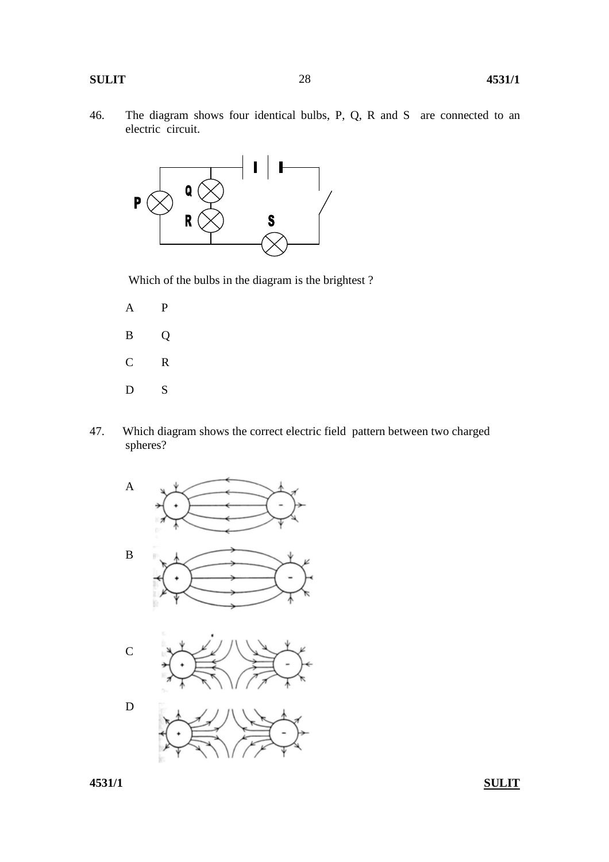46. The diagram shows four identical bulbs, P, Q, R and S are connected to an electric circuit.



Which of the bulbs in the diagram is the brightest ?

- A P B Q C R D<sub>S</sub>
- 47. Which diagram shows the correct electric field pattern between two charged spheres?
	- A B C

D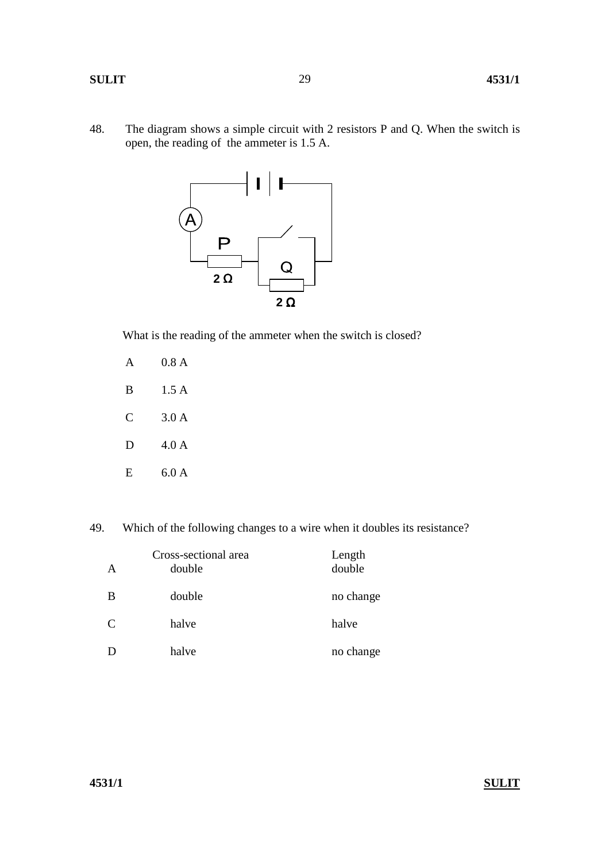48. The diagram shows a simple circuit with 2 resistors P and Q. When the switch is open, the reading of the ammeter is 1.5 A.

29



What is the reading of the ammeter when the switch is closed?

|   | 0.8 A |
|---|-------|
| B | 1.5A  |
| C | 3.0A  |
| D | 4.0A  |
| E | 6.0 A |

49. Which of the following changes to a wire when it doubles its resistance?

| A | Cross-sectional area<br>double | Length<br>double |
|---|--------------------------------|------------------|
| B | double                         | no change        |
| C | halve                          | halve            |
|   | halve                          | no change        |